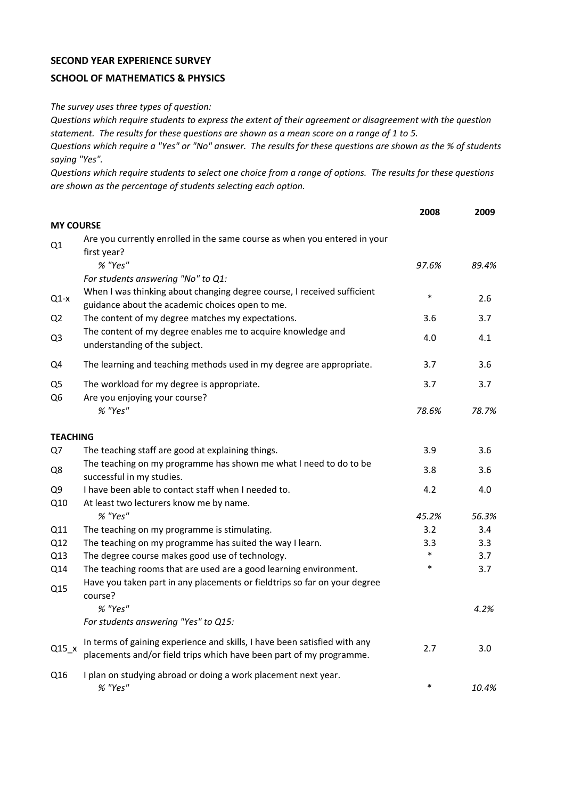## **SECOND YEAR EXPERIENCE SURVEY**

## **SCHOOL OF MATHEMATICS & PHYSICS**

*The survey uses three types of question:*

*Questions which require students to express the extent of their agreement or disagreement with the question statement. The results for these questions are shown as a mean score on a range of 1 to 5.*

*Questions which require a "Yes" or "No" answer. The results for these questions are shown as the % of students saying "Yes".*

*Questions which require students to select one choice from a range of options. The results for these questions are shown as the percentage of students selecting each option.*

|                                  |                                                                                                                                                  | 2008   | 2009  |
|----------------------------------|--------------------------------------------------------------------------------------------------------------------------------------------------|--------|-------|
| <b>MY COURSE</b>                 |                                                                                                                                                  |        |       |
| Q1                               | Are you currently enrolled in the same course as when you entered in your<br>first year?                                                         |        |       |
|                                  | % "Yes"                                                                                                                                          | 97.6%  | 89.4% |
|                                  | For students answering "No" to Q1:                                                                                                               |        |       |
| $Q1-x$                           | When I was thinking about changing degree course, I received sufficient<br>guidance about the academic choices open to me.                       | $\ast$ | 2.6   |
| Q <sub>2</sub>                   | The content of my degree matches my expectations.                                                                                                | 3.6    | 3.7   |
| Q <sub>3</sub>                   | The content of my degree enables me to acquire knowledge and<br>understanding of the subject.                                                    | 4.0    | 4.1   |
| Q4                               | The learning and teaching methods used in my degree are appropriate.                                                                             | 3.7    | 3.6   |
| Q <sub>5</sub><br>Q <sub>6</sub> | The workload for my degree is appropriate.<br>Are you enjoying your course?                                                                      | 3.7    | 3.7   |
|                                  | % "Yes"                                                                                                                                          | 78.6%  | 78.7% |
| <b>TEACHING</b>                  |                                                                                                                                                  |        |       |
| Q7                               | The teaching staff are good at explaining things.                                                                                                | 3.9    | 3.6   |
| Q8                               | The teaching on my programme has shown me what I need to do to be<br>successful in my studies.                                                   | 3.8    | 3.6   |
| Q <sub>9</sub>                   | I have been able to contact staff when I needed to.                                                                                              | 4.2    | 4.0   |
| Q10                              | At least two lecturers know me by name.                                                                                                          |        |       |
|                                  | % "Yes"                                                                                                                                          | 45.2%  | 56.3% |
| Q11                              | The teaching on my programme is stimulating.                                                                                                     | 3.2    | 3.4   |
| Q12                              | The teaching on my programme has suited the way I learn.                                                                                         | 3.3    | 3.3   |
| Q13                              | The degree course makes good use of technology.                                                                                                  | $\ast$ | 3.7   |
| Q14                              | The teaching rooms that are used are a good learning environment.                                                                                | $\ast$ | 3.7   |
| Q15                              | Have you taken part in any placements or fieldtrips so far on your degree<br>course?                                                             |        |       |
|                                  | % "Yes"                                                                                                                                          |        | 4.2%  |
|                                  | For students answering "Yes" to Q15:                                                                                                             |        |       |
| $Q15_x$                          | In terms of gaining experience and skills, I have been satisfied with any<br>placements and/or field trips which have been part of my programme. | 2.7    | 3.0   |
| Q16                              | I plan on studying abroad or doing a work placement next year.<br>% "Yes"                                                                        | $\ast$ | 10.4% |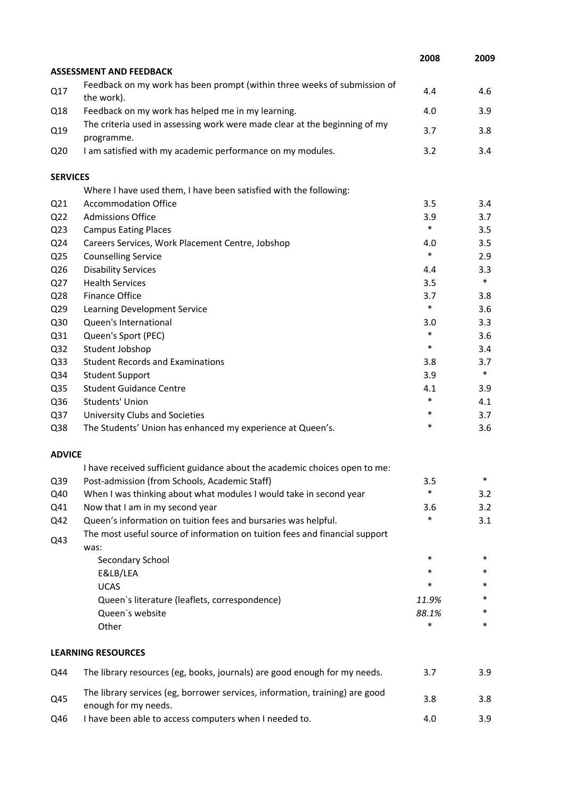|                 |                                                                                                      | 2008   | 2009   |
|-----------------|------------------------------------------------------------------------------------------------------|--------|--------|
|                 | <b>ASSESSMENT AND FEEDBACK</b>                                                                       |        |        |
| Q17             | Feedback on my work has been prompt (within three weeks of submission of<br>the work).               | 4.4    | 4.6    |
| Q18             | Feedback on my work has helped me in my learning.                                                    | 4.0    | 3.9    |
| Q19             | The criteria used in assessing work were made clear at the beginning of my<br>programme.             | 3.7    | 3.8    |
| Q <sub>20</sub> | I am satisfied with my academic performance on my modules.                                           | 3.2    | 3.4    |
| <b>SERVICES</b> |                                                                                                      |        |        |
|                 | Where I have used them, I have been satisfied with the following:                                    |        |        |
| Q <sub>21</sub> | <b>Accommodation Office</b>                                                                          | 3.5    | 3.4    |
| Q <sub>22</sub> | <b>Admissions Office</b>                                                                             | 3.9    | 3.7    |
| Q <sub>23</sub> | <b>Campus Eating Places</b>                                                                          | $\ast$ | 3.5    |
| Q24             | Careers Services, Work Placement Centre, Jobshop                                                     | 4.0    | 3.5    |
| Q <sub>25</sub> | <b>Counselling Service</b>                                                                           | $\ast$ | 2.9    |
| Q26             | <b>Disability Services</b>                                                                           | 4.4    | 3.3    |
| Q27             | <b>Health Services</b>                                                                               | 3.5    | $\ast$ |
| Q28             | <b>Finance Office</b>                                                                                | 3.7    | 3.8    |
| Q29             | Learning Development Service                                                                         | $\ast$ | 3.6    |
| Q30             | Queen's International                                                                                | 3.0    | 3.3    |
| Q31             | Queen's Sport (PEC)                                                                                  | $\ast$ | 3.6    |
| Q <sub>32</sub> | Student Jobshop                                                                                      | $\ast$ | 3.4    |
| Q <sub>33</sub> | <b>Student Records and Examinations</b>                                                              | 3.8    | 3.7    |
| Q34             | <b>Student Support</b>                                                                               | 3.9    | $\ast$ |
| Q <sub>35</sub> | <b>Student Guidance Centre</b>                                                                       | 4.1    | 3.9    |
| Q36             | Students' Union                                                                                      | $\ast$ | 4.1    |
| Q <sub>37</sub> | University Clubs and Societies                                                                       | $\ast$ | 3.7    |
| Q38             | The Students' Union has enhanced my experience at Queen's.                                           | $\ast$ | 3.6    |
| <b>ADVICE</b>   |                                                                                                      |        |        |
|                 | I have received sufficient guidance about the academic choices open to me:                           |        |        |
| Q39             | Post-admission (from Schools, Academic Staff)                                                        | 3.5    | ∗      |
| Q40             | When I was thinking about what modules I would take in second year                                   | $\ast$ | 3.2    |
| Q41             | Now that I am in my second year                                                                      | 3.6    | 3.2    |
| Q42             | Queen's information on tuition fees and bursaries was helpful.                                       | *      | 3.1    |
| Q43             | The most useful source of information on tuition fees and financial support<br>was:                  |        |        |
|                 | Secondary School                                                                                     | $\ast$ | *      |
|                 | E&LB/LEA                                                                                             | $\ast$ | *      |
|                 | <b>UCAS</b>                                                                                          | *      | *      |
|                 | Queen's literature (leaflets, correspondence)                                                        | 11.9%  | *      |
|                 | Queen's website                                                                                      | 88.1%  |        |
|                 | Other                                                                                                | $\ast$ | *      |
|                 | <b>LEARNING RESOURCES</b>                                                                            |        |        |
| Q44             | The library resources (eg, books, journals) are good enough for my needs.                            | 3.7    | 3.9    |
| Q45             | The library services (eg, borrower services, information, training) are good<br>enough for my needs. | 3.8    | 3.8    |
| Q46             | I have been able to access computers when I needed to.                                               | 4.0    | 3.9    |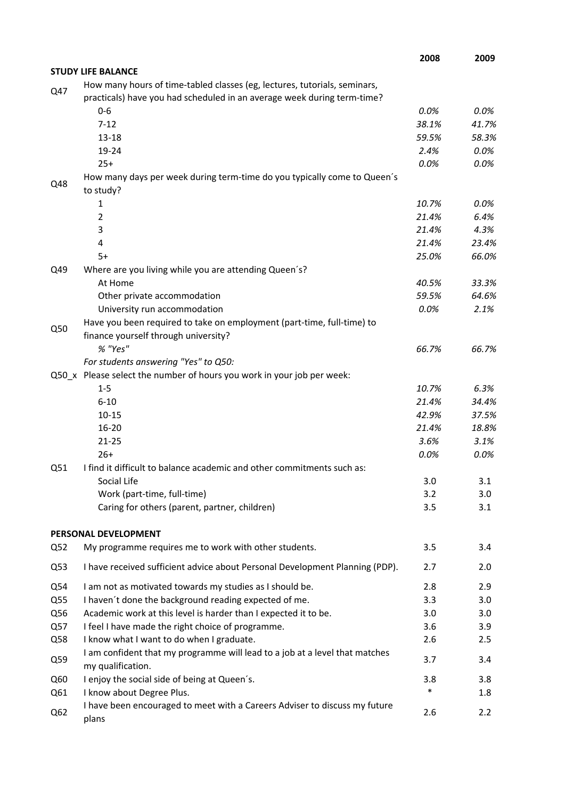|     |                                                                                                                                                      | 2008         | 2009         |
|-----|------------------------------------------------------------------------------------------------------------------------------------------------------|--------------|--------------|
|     | <b>STUDY LIFE BALANCE</b>                                                                                                                            |              |              |
| Q47 | How many hours of time-tabled classes (eg, lectures, tutorials, seminars,<br>practicals) have you had scheduled in an average week during term-time? |              |              |
|     | $0 - 6$                                                                                                                                              | 0.0%         | $0.0\%$      |
|     | $7 - 12$                                                                                                                                             | 38.1%        | 41.7%        |
|     | $13 - 18$                                                                                                                                            | 59.5%        | 58.3%        |
|     | 19-24                                                                                                                                                | 2.4%         | 0.0%         |
|     | $25+$                                                                                                                                                | 0.0%         | 0.0%         |
| Q48 | How many days per week during term-time do you typically come to Queen's<br>to study?                                                                |              |              |
|     | 1                                                                                                                                                    | 10.7%        | 0.0%         |
|     | $\overline{2}$                                                                                                                                       | 21.4%        | 6.4%         |
|     | 3                                                                                                                                                    | 21.4%        | 4.3%         |
|     | 4                                                                                                                                                    | 21.4%        | 23.4%        |
|     | $5+$                                                                                                                                                 | 25.0%        | 66.0%        |
| Q49 | Where are you living while you are attending Queen's?                                                                                                |              |              |
|     | At Home                                                                                                                                              | 40.5%        | 33.3%        |
|     | Other private accommodation                                                                                                                          | 59.5%        | 64.6%        |
|     | University run accommodation                                                                                                                         | 0.0%         | 2.1%         |
| Q50 | Have you been required to take on employment (part-time, full-time) to                                                                               |              |              |
|     | finance yourself through university?                                                                                                                 |              |              |
|     | % "Yes"                                                                                                                                              | 66.7%        | 66.7%        |
|     | For students answering "Yes" to Q50:                                                                                                                 |              |              |
|     | Q50_x Please select the number of hours you work in your job per week:                                                                               |              |              |
|     | $1 - 5$                                                                                                                                              | 10.7%        | 6.3%         |
|     | $6 - 10$                                                                                                                                             | 21.4%        | 34.4%        |
|     | $10 - 15$                                                                                                                                            | 42.9%        | 37.5%        |
|     | $16 - 20$                                                                                                                                            | 21.4%        | 18.8%        |
|     | $21 - 25$<br>$26+$                                                                                                                                   | 3.6%<br>0.0% | 3.1%<br>0.0% |
| Q51 | I find it difficult to balance academic and other commitments such as:                                                                               |              |              |
|     | Social Life                                                                                                                                          | 3.0          | 3.1          |
|     | Work (part-time, full-time)                                                                                                                          | 3.2          | 3.0          |
|     | Caring for others (parent, partner, children)                                                                                                        | 3.5          | 3.1          |
|     | PERSONAL DEVELOPMENT                                                                                                                                 |              |              |
| Q52 | My programme requires me to work with other students.                                                                                                | 3.5          | 3.4          |
|     |                                                                                                                                                      |              |              |
| Q53 | I have received sufficient advice about Personal Development Planning (PDP).                                                                         | 2.7          | 2.0          |
| Q54 | I am not as motivated towards my studies as I should be.                                                                                             | 2.8          | 2.9          |
| Q55 | I haven't done the background reading expected of me.                                                                                                | 3.3          | 3.0          |
| Q56 | Academic work at this level is harder than I expected it to be.                                                                                      | 3.0          | 3.0          |
| Q57 | I feel I have made the right choice of programme.                                                                                                    | 3.6          | 3.9          |
| Q58 | I know what I want to do when I graduate.                                                                                                            | 2.6          | 2.5          |
| Q59 | I am confident that my programme will lead to a job at a level that matches<br>my qualification.                                                     | 3.7          | 3.4          |
| Q60 | I enjoy the social side of being at Queen's.                                                                                                         | 3.8          | 3.8          |
| Q61 | I know about Degree Plus.                                                                                                                            | $\ast$       | 1.8          |
| Q62 | I have been encouraged to meet with a Careers Adviser to discuss my future<br>plans                                                                  | 2.6          | 2.2          |